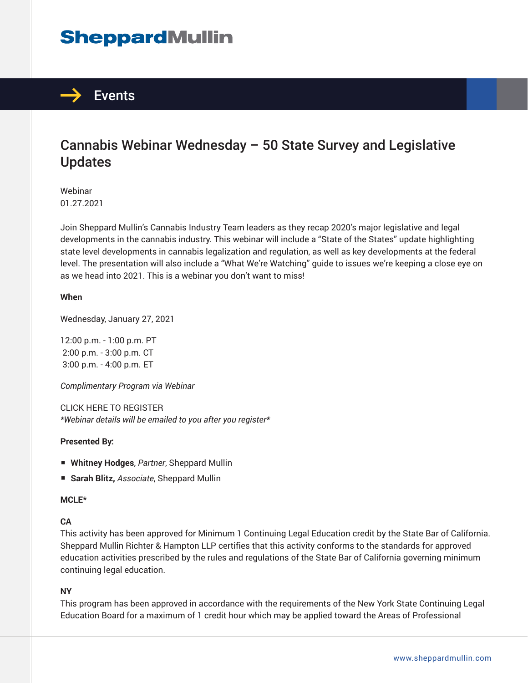# **SheppardMullin**



## Cannabis Webinar Wednesday – 50 State Survey and Legislative Updates

Webinar 01.27.2021

Join Sheppard Mullin's Cannabis Industry Team leaders as they recap 2020's major legislative and legal developments in the cannabis industry. This webinar will include a "State of the States" update highlighting state level developments in cannabis legalization and regulation, as well as key developments at the federal level. The presentation will also include a "What We're Watching" guide to issues we're keeping a close eye on as we head into 2021. This is a webinar you don't want to miss!

#### **When**

Wednesday, January 27, 2021

12:00 p.m. - 1:00 p.m. PT 2:00 p.m. - 3:00 p.m. CT 3:00 p.m. - 4:00 p.m. ET

*Complimentary Program via Webinar*

CLICK HERE TO REGISTER *\*Webinar details will be emailed to you after you register\**

#### **Presented By:**

- **Whitney Hodges**, *Partner*, Sheppard Mullin
- **Sarah Blitz,** *Associate*, Sheppard Mullin

#### **MCLE\***

#### **CA**

This activity has been approved for Minimum 1 Continuing Legal Education credit by the State Bar of California. Sheppard Mullin Richter & Hampton LLP certifies that this activity conforms to the standards for approved education activities prescribed by the rules and regulations of the State Bar of California governing minimum continuing legal education.

#### **NY**

This program has been approved in accordance with the requirements of the New York State Continuing Legal Education Board for a maximum of 1 credit hour which may be applied toward the Areas of Professional